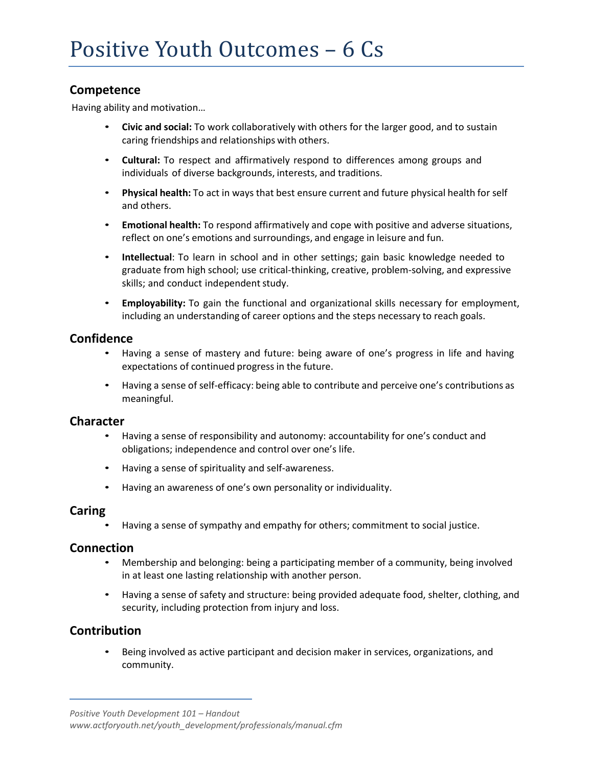## **Competence**

Having ability and motivation…

- **Civic and social:** To work collaboratively with others for the larger good, and to sustain caring friendships and relationships with others.
- **Cultural:** To respect and affirmatively respond to differences among groups and individuals of diverse backgrounds, interests, and traditions.
- **Physical health:** To act in ways that best ensure current and future physical health for self and others.
- **Emotional health:** To respond affirmatively and cope with positive and adverse situations, reflect on one's emotions and surroundings, and engage in leisure and fun.
- **Intellectual**: To learn in school and in other settings; gain basic knowledge needed to graduate from high school; use critical-thinking, creative, problem-solving, and expressive skills; and conduct independent study.
- **Employability:** To gain the functional and organizational skills necessary for employment, including an understanding of career options and the steps necessary to reach goals.

## **Confidence**

- Having a sense of mastery and future: being aware of one's progress in life and having expectations of continued progress in the future.
- Having a sense of self-efficacy: being able to contribute and perceive one's contributions as meaningful.

#### **Character**

- Having a sense of responsibility and autonomy: accountability for one's conduct and obligations; independence and control over one's life.
- Having a sense of spirituality and self-awareness.
- Having an awareness of one's own personality or individuality.

#### **Caring**

• Having a sense of sympathy and empathy for others; commitment to social justice.

#### **Connection**

- Membership and belonging: being a participating member of a community, being involved in at least one lasting relationship with another person.
- Having a sense of safety and structure: being provided adequate food, shelter, clothing, and security, including protection from injury and loss.

## **Contribution**

• Being involved as active participant and decision maker in services, organizations, and community.